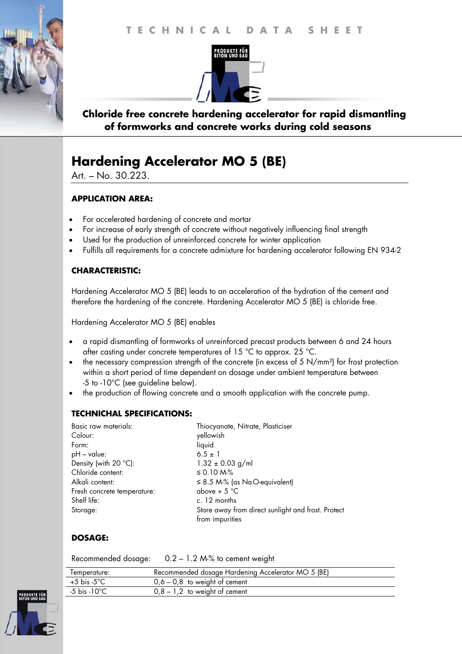#### **T E C H N I C A L D A T A S H E E T T E C H N I C A L D A T A S H E E T**



## **Chloride free concrete hardening accelerator for rapid dismantling of formworks and concrete works during cold seasons**

# **Hardening Accelerator MO 5 (BE)**

Art. – No. 30.223.

١

#### **APPLICATION AREA:**

- For accelerated hardening of concrete and mortar
- For increase of early strength of concrete without negatively influencing final strength
- Used for the production of unreinforced concrete for winter application
- Fulfills all requirements for a concrete admixture for hardening accelerator following EN 934-2

#### **CHARACTERISTIC:**

Hardening Accelerator MO 5 (BE) leads to an acceleration of the hydration of the cement and therefore the hardening of the concrete. Hardening Accelerator MO 5 (BE) is chloride free.

Hardening Accelerator MO 5 (BE) enables

- a rapid dismantling of formworks of unreinforced precast products between 6 and 24 hours after casting under concrete temperatures of 15 °C to approx. 25 °C.
- the necessary compression strength of the concrete (in excess of 5 N/mm<sup>2</sup>) for frost protection within a short period of time dependent on dosage under ambient temperature between -5 to -10°C (see guideline below).
- the production of flowing concrete and a smooth application with the concrete pump.

#### **TECHNICHAL SPECIFICATIONS:**

| Basic raw materials:           | Thiocyanate, Nitrate, Plasticiser                  |
|--------------------------------|----------------------------------------------------|
| Colour:                        | yellowish                                          |
| Form:                          | liquid                                             |
| $pH - value$ :                 | $6.5 \pm 1$                                        |
| Density (with $20^{\circ}$ C): | $1.32 \pm 0.03$ g/ml                               |
| Chloride content:              | ≤ 0.10 M $%$                                       |
| Alkali content:                | $\leq$ 8.5 M-% (as NaO-equivalent)                 |
| Fresh concrete temperature:    | above + $5^{\circ}$ C                              |
| Shelf life:                    | c. 12 months                                       |
| Storage:                       | Store away from direct sunlight and frost. Protect |
|                                | from impurities                                    |

## **DOSAGE:**

Recommended dosage: 0.2 – 1.2 M-% to cement weight

| lemperature: | Recommended dosage Hardening Accelerator MO 5 (BE) |
|--------------|----------------------------------------------------|
| +5 bis -5°C  | $0,6 - 0,8$ to weight of cement                    |
| -5 bis -10°C | $0,8 - 1,2$ to weight of cement                    |